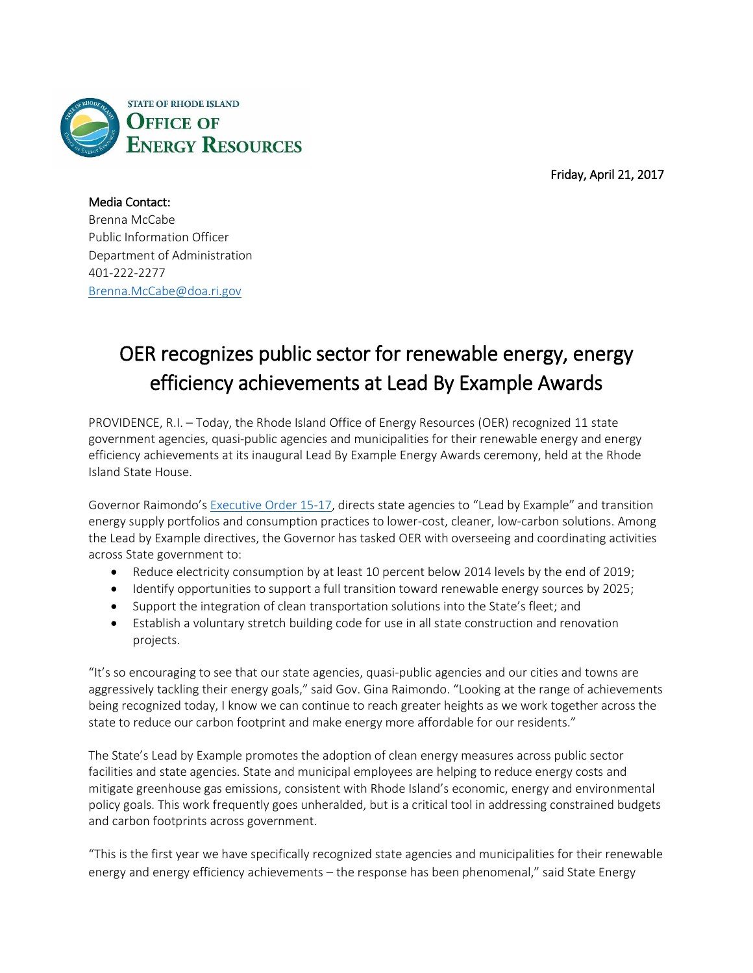

Friday, April 21, 2017

Media Contact: Brenna McCabe Public Information Officer Department of Administration 401-222-2277 [Brenna.McCabe@doa.ri.gov](mailto:Brenna.McCabe@doa.ri.gov)

## OER recognizes public sector for renewable energy, energy efficiency achievements at Lead By Example Awards

PROVIDENCE, R.I. – Today, the Rhode Island Office of Energy Resources (OER) recognized 11 state government agencies, quasi-public agencies and municipalities for their renewable energy and energy efficiency achievements at its inaugural Lead By Example Energy Awards ceremony, held at the Rhode Island State House.

Governor Raimondo's [Executive Order 15-17,](http://www.governor.ri.gov/documents/orders/ExecOrder15-17.pdf) directs state agencies to "Lead by Example" and transition energy supply portfolios and consumption practices to lower-cost, cleaner, low-carbon solutions. Among the Lead by Example directives, the Governor has tasked OER with overseeing and coordinating activities across State government to:

- Reduce electricity consumption by at least 10 percent below 2014 levels by the end of 2019;
- Identify opportunities to support a full transition toward renewable energy sources by 2025;
- Support the integration of clean transportation solutions into the State's fleet; and
- Establish a voluntary stretch building code for use in all state construction and renovation projects.

"It's so encouraging to see that our state agencies, quasi-public agencies and our cities and towns are aggressively tackling their energy goals," said Gov. Gina Raimondo. "Looking at the range of achievements being recognized today, I know we can continue to reach greater heights as we work together across the state to reduce our carbon footprint and make energy more affordable for our residents."

The State's Lead by Example promotes the adoption of clean energy measures across public sector facilities and state agencies. State and municipal employees are helping to reduce energy costs and mitigate greenhouse gas emissions, consistent with Rhode Island's economic, energy and environmental policy goals. This work frequently goes unheralded, but is a critical tool in addressing constrained budgets and carbon footprints across government.

"This is the first year we have specifically recognized state agencies and municipalities for their renewable energy and energy efficiency achievements – the response has been phenomenal," said State Energy